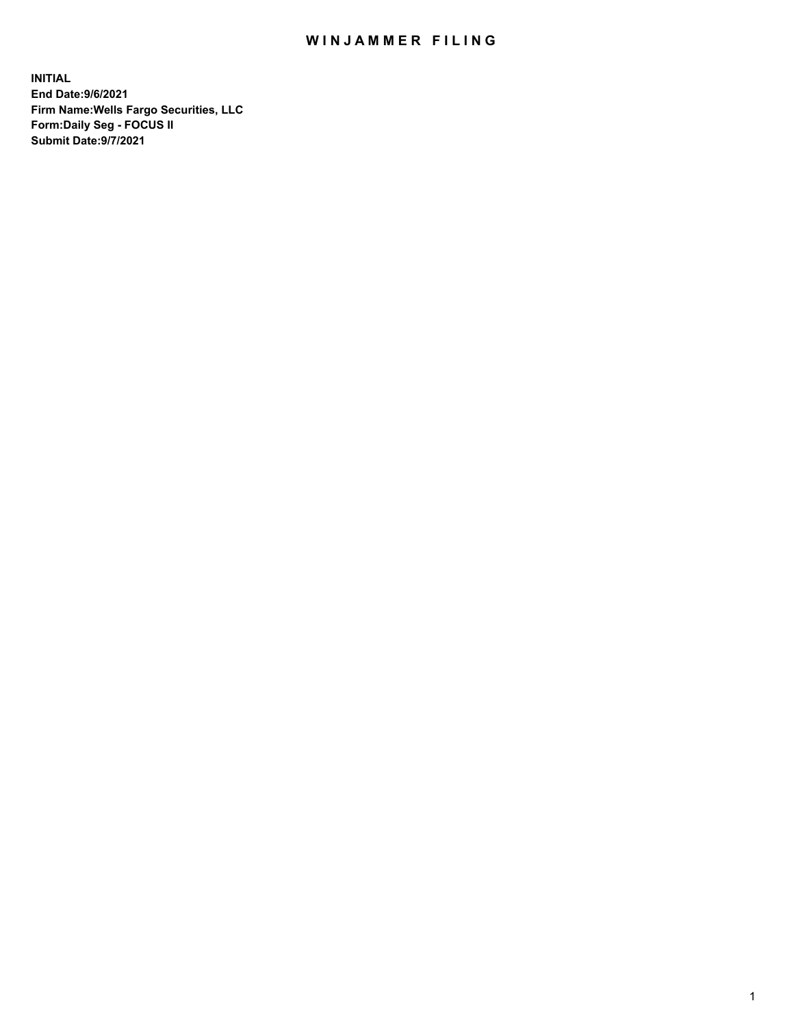## WIN JAMMER FILING

**INITIAL End Date:9/6/2021 Firm Name:Wells Fargo Securities, LLC Form:Daily Seg - FOCUS II Submit Date:9/7/2021**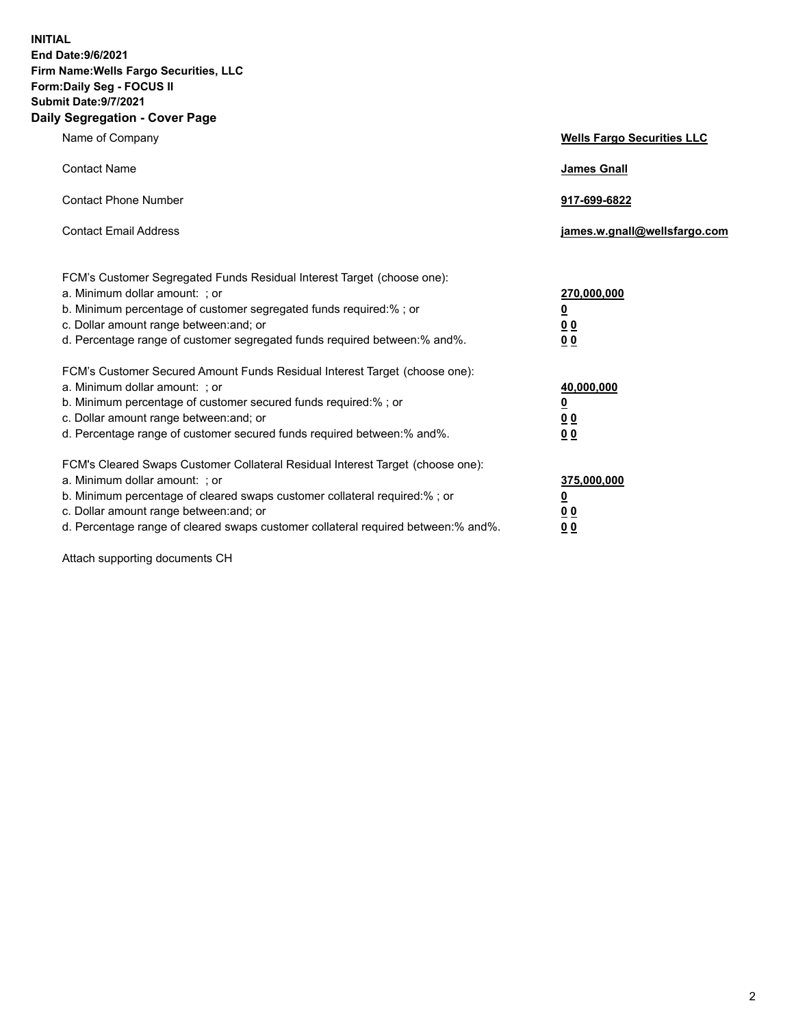**INITIAL End Date:9/6/2021 Firm Name:Wells Fargo Securities, LLC Form:Daily Seg - FOCUS II Submit Date:9/7/2021 Daily Segregation - Cover Page**

| Name of Company                                                                                                                                                                                                                                                                                                                | <b>Wells Fargo Securities LLC</b>                                         |
|--------------------------------------------------------------------------------------------------------------------------------------------------------------------------------------------------------------------------------------------------------------------------------------------------------------------------------|---------------------------------------------------------------------------|
| <b>Contact Name</b>                                                                                                                                                                                                                                                                                                            | <b>James Gnall</b>                                                        |
| <b>Contact Phone Number</b>                                                                                                                                                                                                                                                                                                    | 917-699-6822                                                              |
| <b>Contact Email Address</b>                                                                                                                                                                                                                                                                                                   | james.w.gnall@wellsfargo.com                                              |
| FCM's Customer Segregated Funds Residual Interest Target (choose one):<br>a. Minimum dollar amount: ; or<br>b. Minimum percentage of customer segregated funds required:% ; or<br>c. Dollar amount range between: and; or<br>d. Percentage range of customer segregated funds required between:% and%.                         | 270,000,000<br>$\overline{\mathbf{0}}$<br>0 <sub>0</sub><br>00            |
| FCM's Customer Secured Amount Funds Residual Interest Target (choose one):<br>a. Minimum dollar amount: ; or<br>b. Minimum percentage of customer secured funds required:%; or<br>c. Dollar amount range between: and; or<br>d. Percentage range of customer secured funds required between:% and%.                            | 40,000,000<br>$\overline{\mathbf{0}}$<br>0 <sub>0</sub><br>0 <sub>0</sub> |
| FCM's Cleared Swaps Customer Collateral Residual Interest Target (choose one):<br>a. Minimum dollar amount: ; or<br>b. Minimum percentage of cleared swaps customer collateral required:% ; or<br>c. Dollar amount range between: and; or<br>d. Percentage range of cleared swaps customer collateral required between:% and%. | 375,000,000<br><u>0</u><br>00<br>00                                       |

Attach supporting documents CH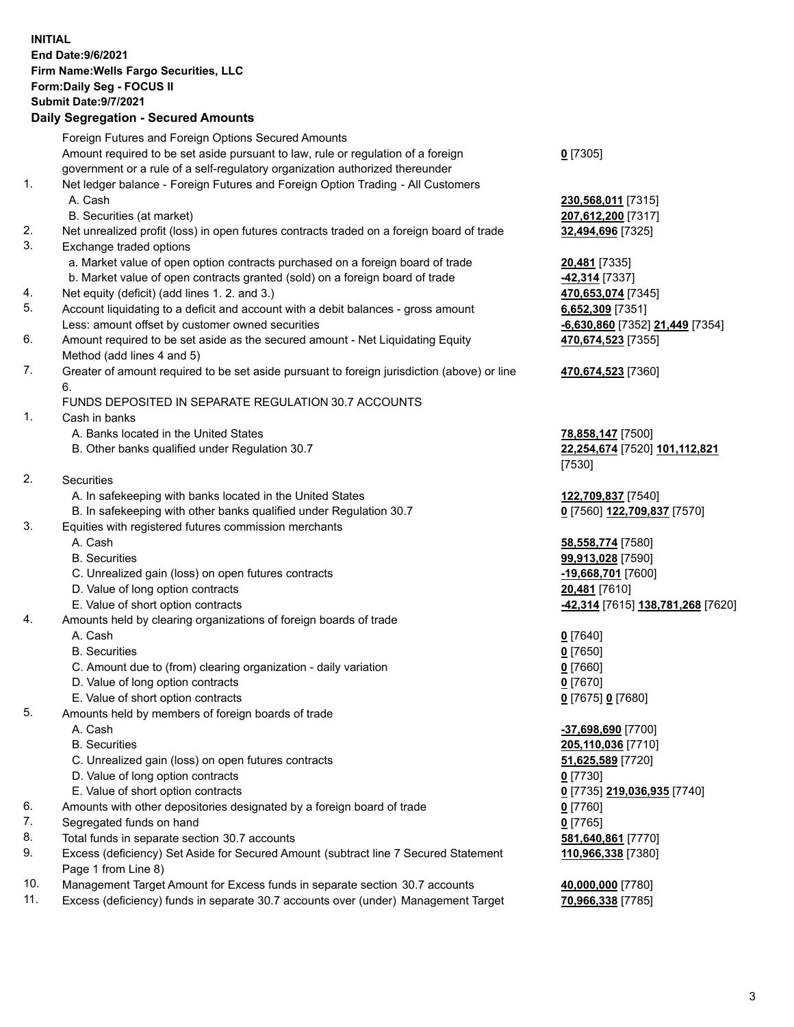**INITIAL End Date:9/6/2021 Firm Name:Wells Fargo Securities, LLC Form:Daily Seg - FOCUS II Submit Date:9/7/2021 Daily Segregation - Secured Amounts**

|     | Foreign Futures and Foreign Options Secured Amounts                                         |                                                       |
|-----|---------------------------------------------------------------------------------------------|-------------------------------------------------------|
|     | Amount required to be set aside pursuant to law, rule or regulation of a foreign            | $0$ [7305]                                            |
|     | government or a rule of a self-regulatory organization authorized thereunder                |                                                       |
| 1.  | Net ledger balance - Foreign Futures and Foreign Option Trading - All Customers             |                                                       |
|     | A. Cash                                                                                     | 230,568,011 [7315]                                    |
|     | B. Securities (at market)                                                                   | 207,612,200 [7317]                                    |
| 2.  | Net unrealized profit (loss) in open futures contracts traded on a foreign board of trade   | 32,494,696 [7325]                                     |
| 3.  | Exchange traded options                                                                     |                                                       |
|     | a. Market value of open option contracts purchased on a foreign board of trade              | 20,481 [7335]                                         |
|     | b. Market value of open contracts granted (sold) on a foreign board of trade                | <b>42,314</b> [7337]                                  |
| 4.  | Net equity (deficit) (add lines 1. 2. and 3.)                                               | 470,653,074 [7345]                                    |
| 5.  | Account liquidating to a deficit and account with a debit balances - gross amount           | 6,652,309 [7351]                                      |
|     | Less: amount offset by customer owned securities                                            | -6,630,860 [7352] 21,449 [7354]                       |
| 6.  | Amount required to be set aside as the secured amount - Net Liquidating Equity              | 470,674,523 [7355]                                    |
|     | Method (add lines 4 and 5)                                                                  |                                                       |
| 7.  | Greater of amount required to be set aside pursuant to foreign jurisdiction (above) or line | 470,674,523 [7360]                                    |
|     | 6.                                                                                          |                                                       |
|     | FUNDS DEPOSITED IN SEPARATE REGULATION 30.7 ACCOUNTS                                        |                                                       |
| 1.  | Cash in banks                                                                               |                                                       |
|     | A. Banks located in the United States                                                       | 78,858,147 [7500]                                     |
|     | B. Other banks qualified under Regulation 30.7                                              | 22,254,674 [7520] 101,112,821                         |
|     |                                                                                             | [7530]                                                |
| 2.  | Securities                                                                                  |                                                       |
|     | A. In safekeeping with banks located in the United States                                   | 122,709,837 [7540]                                    |
|     | B. In safekeeping with other banks qualified under Regulation 30.7                          | 0 [7560] 122,709,837 [7570]                           |
| 3.  | Equities with registered futures commission merchants                                       |                                                       |
|     | A. Cash                                                                                     | 58,558,774 [7580]                                     |
|     | <b>B.</b> Securities                                                                        | 99,913,028 [7590]                                     |
|     | C. Unrealized gain (loss) on open futures contracts                                         | -19,668,701 [7600]                                    |
|     | D. Value of long option contracts                                                           | 20,481 [7610]                                         |
|     | E. Value of short option contracts                                                          | <mark>-42,314</mark> [7615] <b>138,781,268</b> [7620] |
| 4.  | Amounts held by clearing organizations of foreign boards of trade                           |                                                       |
|     | A. Cash                                                                                     | $0$ [7640]                                            |
|     | <b>B.</b> Securities                                                                        | $0$ [7650]                                            |
|     | C. Amount due to (from) clearing organization - daily variation                             | $0$ [7660]                                            |
|     | D. Value of long option contracts                                                           | $0$ [7670]                                            |
|     | E. Value of short option contracts                                                          | 0 [7675] 0 [7680]                                     |
| 5.  | Amounts held by members of foreign boards of trade                                          |                                                       |
|     | A. Cash                                                                                     | -37,698,690 [7700]                                    |
|     | <b>B.</b> Securities                                                                        | 205,110,036 [7710]                                    |
|     | C. Unrealized gain (loss) on open futures contracts                                         | 51,625,589 [7720]                                     |
|     | D. Value of long option contracts                                                           | $0$ [7730]                                            |
|     | E. Value of short option contracts                                                          | 0 [7735] 219,036,935 [7740]                           |
| 6.  | Amounts with other depositories designated by a foreign board of trade                      | 0 [7760]                                              |
| 7.  | Segregated funds on hand                                                                    | $0$ [7765]                                            |
| 8.  | Total funds in separate section 30.7 accounts                                               | 581,640,861 [7770]                                    |
| 9.  | Excess (deficiency) Set Aside for Secured Amount (subtract line 7 Secured Statement         | 110,966,338 [7380]                                    |
|     | Page 1 from Line 8)                                                                         |                                                       |
| 10. | Management Target Amount for Excess funds in separate section 30.7 accounts                 | 40,000,000 [7780]                                     |

11. Excess (deficiency) funds in separate 30.7 accounts over (under) Management Target **70,966,338** [7785]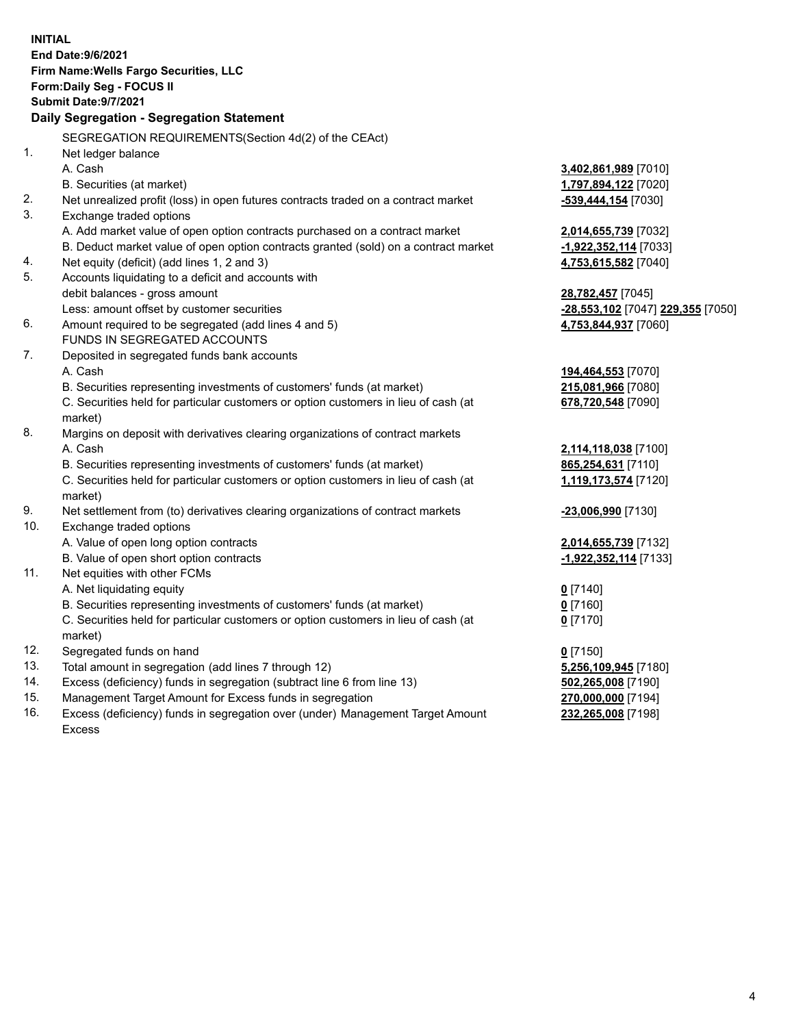|     | <b>INITIAL</b><br>End Date: 9/6/2021<br>Firm Name: Wells Fargo Securities, LLC<br>Form: Daily Seg - FOCUS II |                                   |
|-----|--------------------------------------------------------------------------------------------------------------|-----------------------------------|
|     | <b>Submit Date: 9/7/2021</b>                                                                                 |                                   |
|     | Daily Segregation - Segregation Statement                                                                    |                                   |
|     | SEGREGATION REQUIREMENTS(Section 4d(2) of the CEAct)                                                         |                                   |
| 1.  | Net ledger balance                                                                                           |                                   |
|     | A. Cash                                                                                                      | 3,402,861,989 [7010]              |
|     | B. Securities (at market)                                                                                    | 1,797,894,122 [7020]              |
| 2.  | Net unrealized profit (loss) in open futures contracts traded on a contract market                           | -539,444,154 [7030]               |
| 3.  | Exchange traded options                                                                                      |                                   |
|     | A. Add market value of open option contracts purchased on a contract market                                  | 2,014,655,739 [7032]              |
|     | B. Deduct market value of open option contracts granted (sold) on a contract market                          | -1,922,352,114 [7033]             |
| 4.  | Net equity (deficit) (add lines 1, 2 and 3)                                                                  | 4,753,615,582 [7040]              |
| 5.  | Accounts liquidating to a deficit and accounts with                                                          |                                   |
|     | debit balances - gross amount                                                                                | 28,782,457 [7045]                 |
|     | Less: amount offset by customer securities                                                                   | -28,553,102 [7047] 229,355 [7050] |
| 6.  | Amount required to be segregated (add lines 4 and 5)                                                         | 4,753,844,937 [7060]              |
|     | FUNDS IN SEGREGATED ACCOUNTS                                                                                 |                                   |
| 7.  | Deposited in segregated funds bank accounts                                                                  |                                   |
|     | A. Cash                                                                                                      | 194,464,553 [7070]                |
|     | B. Securities representing investments of customers' funds (at market)                                       | 215,081,966 [7080]                |
|     | C. Securities held for particular customers or option customers in lieu of cash (at<br>market)               | 678,720,548 [7090]                |
| 8.  | Margins on deposit with derivatives clearing organizations of contract markets                               |                                   |
|     | A. Cash                                                                                                      | 2,114,118,038 [7100]              |
|     | B. Securities representing investments of customers' funds (at market)                                       | 865,254,631 [7110]                |
|     | C. Securities held for particular customers or option customers in lieu of cash (at<br>market)               | 1,119,173,574 [7120]              |
| 9.  | Net settlement from (to) derivatives clearing organizations of contract markets                              | -23,006,990 [7130]                |
| 10. | Exchange traded options                                                                                      |                                   |
|     | A. Value of open long option contracts                                                                       | 2,014,655,739 [7132]              |
|     | B. Value of open short option contracts                                                                      | -1,922,352,114 [7133]             |
| 11. | Net equities with other FCMs                                                                                 |                                   |
|     | A. Net liquidating equity                                                                                    | $0$ [7140]                        |
|     | B. Securities representing investments of customers' funds (at market)                                       | $0$ [7160]                        |
|     | C. Securities held for particular customers or option customers in lieu of cash (at                          | $0$ [7170]                        |
|     | market)                                                                                                      |                                   |
| 12. | Segregated funds on hand                                                                                     | $0$ [7150]                        |
| 13. | Total amount in segregation (add lines 7 through 12)                                                         | 5,256,109,945 [7180]              |
| 14. | Excess (deficiency) funds in segregation (subtract line 6 from line 13)                                      | 502,265,008 [7190]                |
| 15. | Management Target Amount for Excess funds in segregation                                                     | 270,000,000 [7194]                |
| 16. | Excess (deficiency) funds in segregation over (under) Management Target Amount                               | 232,265,008 [7198]                |
|     | <b>Excess</b>                                                                                                |                                   |